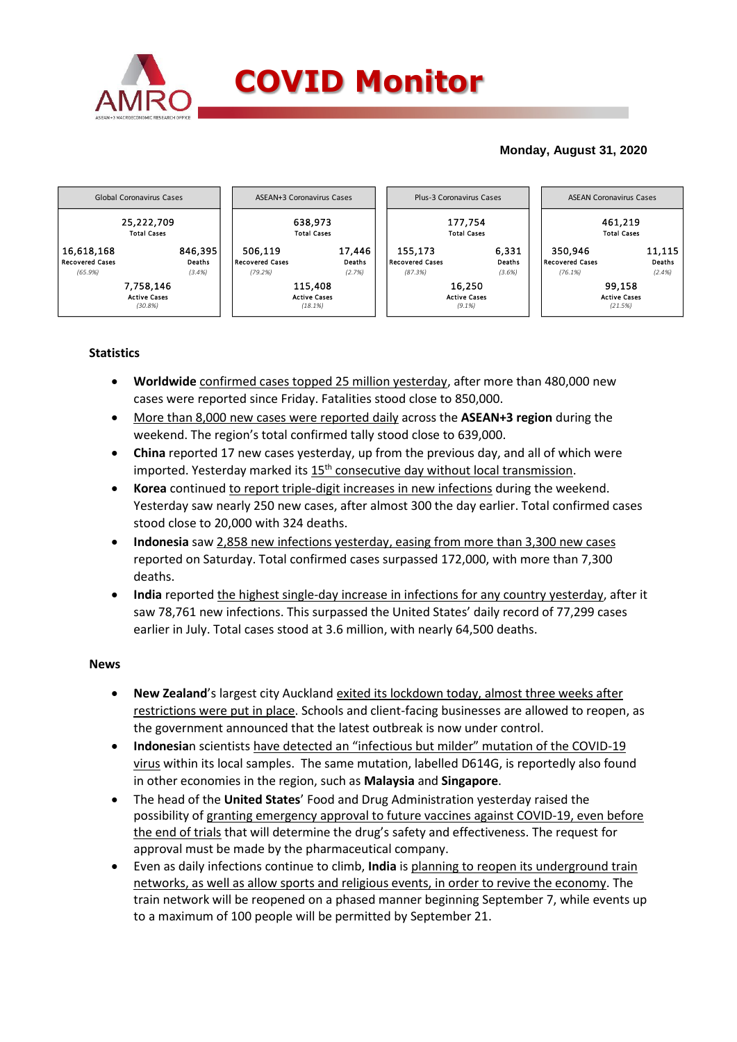

## **Monday, August 31, 2020**



## **Statistics**

- **Worldwide** confirmed cases topped 25 million yesterday, after more than 480,000 new cases were reported since Friday. Fatalities stood close to 850,000.
- More than 8,000 new cases were reported daily across the **ASEAN+3 region** during the weekend. The region's total confirmed tally stood close to 639,000.
- **China** reported 17 new cases yesterday, up from the previous day, and all of which were imported. Yesterday marked its  $15<sup>th</sup>$  consecutive day without local transmission.
- **Korea** continued to report triple-digit increases in new infections during the weekend. Yesterday saw nearly 250 new cases, after almost 300 the day earlier. Total confirmed cases stood close to 20,000 with 324 deaths.
- **Indonesia** saw 2,858 new infections yesterday, easing from more than 3,300 new cases reported on Saturday. Total confirmed cases surpassed 172,000, with more than 7,300 deaths.
- **India** reported the highest single-day increase in infections for any country yesterday, after it saw 78,761 new infections. This surpassed the United States' daily record of 77,299 cases earlier in July. Total cases stood at 3.6 million, with nearly 64,500 deaths.

## **News**

- **New Zealand**'s largest city Auckland exited its lockdown today, almost three weeks after restrictions were put in place. Schools and client-facing businesses are allowed to reopen, as the government announced that the latest outbreak is now under control.
- **Indonesia**n scientists have detected an "infectious but milder" mutation of the COVID-19 virus within its local samples. The same mutation, labelled D614G, is reportedly also found in other economies in the region, such as **Malaysia** and **Singapore**.
- The head of the **United States**' Food and Drug Administration yesterday raised the possibility of granting emergency approval to future vaccines against COVID-19, even before the end of trials that will determine the drug's safety and effectiveness. The request for approval must be made by the pharmaceutical company.
- Even as daily infections continue to climb, **India** is planning to reopen its underground train networks, as well as allow sports and religious events, in order to revive the economy. The train network will be reopened on a phased manner beginning September 7, while events up to a maximum of 100 people will be permitted by September 21.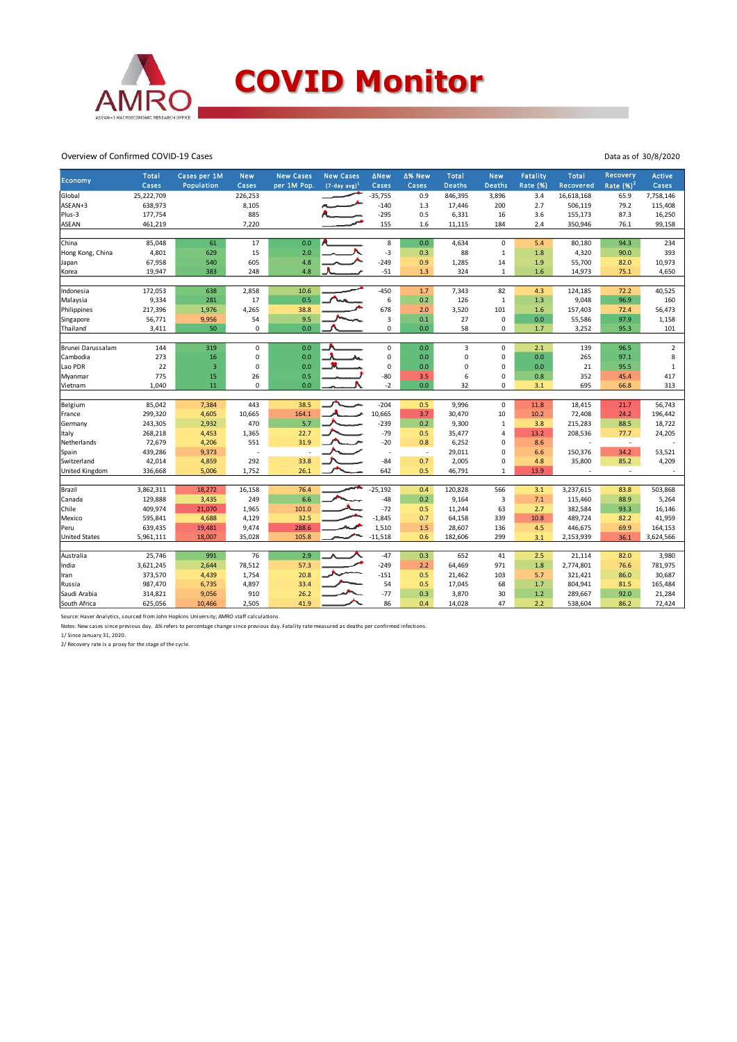

Overview of Confirmed COVID-19 Cases

| Economy              | <b>Total</b><br>Cases | Cases per 1M<br>Population | <b>New</b><br>Cases | <b>New Cases</b><br>per 1M Pop. | <b>New Cases</b><br>$(7-day avg)^1$ | ∆New<br>Cases | △% New<br>Cases          | <b>Total</b><br><b>Deaths</b> | <b>New</b><br><b>Deaths</b> | <b>Fatality</b><br><b>Rate (%)</b> | <b>Total</b><br>Recovered | Recovery<br>Rate $(%)2$  | <b>Active</b><br>Cases |
|----------------------|-----------------------|----------------------------|---------------------|---------------------------------|-------------------------------------|---------------|--------------------------|-------------------------------|-----------------------------|------------------------------------|---------------------------|--------------------------|------------------------|
| Global               | 25,222,709            |                            | 226,253             |                                 |                                     | $-35,755$     | 0.9                      | 846,395                       | 3,896                       | 3.4                                | 16,618,168                | 65.9                     | 7,758,146              |
| ASEAN+3              | 638,973               |                            | 8,105               |                                 |                                     | $-140$        | 1.3                      | 17,446                        | 200                         | 2.7                                | 506,119                   | 79.2                     | 115,408                |
| Plus-3               | 177,754               |                            | 885                 |                                 |                                     | $-295$        | 0.5                      | 6,331                         | 16                          | 3.6                                | 155,173                   | 87.3                     | 16,250                 |
| <b>ASEAN</b>         | 461,219               |                            | 7,220               |                                 |                                     | 155           | 1.6                      | 11,115                        | 184                         | 2.4                                | 350,946                   | 76.1                     | 99,158                 |
|                      |                       |                            |                     |                                 |                                     |               |                          |                               |                             |                                    |                           |                          |                        |
| China                | 85,048                | 61                         | 17                  | 0.0                             |                                     | 8             | 0.0                      | 4,634                         | $\mathbf 0$                 | 5.4                                | 80,180                    | 94.3                     | 234                    |
| Hong Kong, China     | 4,801                 | 629                        | 15                  | 2.0                             |                                     | $-3$          | 0.3                      | 88                            | $\mathbf{1}$                | 1.8                                | 4,320                     | 90.0                     | 393                    |
| Japan                | 67,958                | 540                        | 605                 | 4.8                             |                                     | $-249$        | 0.9                      | 1,285                         | 14                          | 1.9                                | 55,700                    | 82.0                     | 10,973                 |
| Korea                | 19,947                | 383                        | 248                 | 4.8                             |                                     | $-51$         | 1.3                      | 324                           | $\mathbf{1}$                | 1.6                                | 14,973                    | 75.1                     | 4,650                  |
| Indonesia            | 172,053               | 638                        | 2,858               | 10.6                            |                                     | $-450$        | 1.7                      | 7,343                         | 82                          | 4.3                                | 124,185                   | 72.2                     | 40,525                 |
| Malaysia             | 9,334                 | 281                        | 17                  | 0.5                             |                                     | 6             | 0.2                      | 126                           | $\mathbf{1}$                | 1.3                                | 9,048                     | 96.9                     | 160                    |
| Philippines          | 217,396               | 1,976                      | 4,265               | 38.8                            |                                     | 678           | 2.0                      | 3,520                         | 101                         | 1.6                                | 157,403                   | 72.4                     | 56,473                 |
| Singapore            | 56,771                | 9,956                      | 54                  | 9.5                             |                                     | 3             | 0.1                      | 27                            | $\mathbf 0$                 | 0.0                                | 55,586                    | 97.9                     | 1,158                  |
| Thailand             | 3,411                 | 50                         | $\mathbf 0$         | 0.0                             |                                     | $\mathbf 0$   | 0.0                      | 58                            | 0                           | 1.7                                | 3,252                     | 95.3                     | 101                    |
|                      |                       |                            |                     |                                 |                                     |               |                          |                               |                             |                                    |                           |                          |                        |
| Brunei Darussalam    | 144                   | 319                        | 0                   | 0.0                             |                                     | $\mathbf 0$   | 0.0                      | 3                             | 0                           | 2.1                                | 139                       | 96.5                     | $\overline{2}$         |
| Cambodia             | 273                   | 16                         | $\mathbf 0$         | 0.0                             |                                     | 0             | 0.0                      | $\mathbf 0$                   | 0                           | 0.0                                | 265                       | 97.1                     | 8                      |
| Lao PDR              | 22                    | $\overline{3}$             | $\mathbf 0$         | 0.0                             |                                     | $\mathbf 0$   | 0.0                      | $\Omega$                      | 0                           | 0.0                                | 21                        | 95.5                     | $\mathbf 1$            |
| Myanmar              | 775                   | 15                         | 26                  | 0.5                             |                                     | $-80$         | 3.5                      | 6                             | $\mathbf 0$                 | 0.8                                | 352                       | 45.4                     | 417                    |
| Vietnam              | 1,040                 | 11                         | $\Omega$            | 0.0                             |                                     | $-2$          | 0.0                      | 32                            | 0                           | 3.1                                | 695                       | 66.8                     | 313                    |
|                      |                       |                            |                     |                                 |                                     | $-204$        | 0.5                      |                               | $\mathbf 0$                 |                                    |                           |                          | 56,743                 |
| Belgium<br>France    | 85,042<br>299,320     | 7,384<br>4,605             | 443<br>10,665       | 38.5<br>164.1                   |                                     | 10,665        | 3.7                      | 9,996<br>30,470               | 10                          | 11.8<br>10.2                       | 18,415                    | 21.7<br>24.2             | 196,442                |
|                      | 243,305               | 2,932                      | 470                 | 5.7                             |                                     | $-239$        | 0.2                      | 9,300                         | $\mathbf{1}$                | 3.8                                | 72,408<br>215,283         | 88.5                     | 18,722                 |
| Germany              |                       |                            |                     | 22.7                            |                                     | $-79$         | 0.5                      |                               | 4                           | 13.2                               | 208,536                   | 77.7                     |                        |
| Italy<br>Netherlands | 268,218<br>72,679     | 4,453<br>4,206             | 1,365<br>551        | 31.9                            |                                     | $-20$         | 0.8                      | 35,477<br>6,252               | 0                           | 8.6                                |                           | $\overline{\phantom{a}}$ | 24,205                 |
|                      | 439,286               | 9,373                      |                     | ÷.                              |                                     | ٠.            | $\overline{\phantom{a}}$ | 29,011                        | 0                           | 6.6                                | 150,376                   | 34.2                     | 53,521                 |
| Spain<br>Switzerland | 42,014                | 4,859                      | 292                 | 33.8                            |                                     | $-84$         | 0.7                      | 2,005                         | 0                           | 4.8                                | 35,800                    | 85.2                     | 4,209                  |
| United Kingdom       | 336,668               | 5,006                      | 1,752               | 26.1                            |                                     | 642           | 0.5                      | 46,791                        | $\mathbf{1}$                | 13.9                               |                           | $\epsilon$               |                        |
|                      |                       |                            |                     |                                 |                                     |               |                          |                               |                             |                                    |                           |                          |                        |
| Brazil               | 3,862,311             | 18,272                     | 16,158              | 76.4                            |                                     | $-25,192$     | 0.4                      | 120,828                       | 566                         | 3.1                                | 3,237,615                 | 83.8                     | 503,868                |
| Canada               | 129,888               | 3,435                      | 249                 | 6.6                             |                                     | $-48$         | 0.2                      | 9,164                         | 3                           | 7.1                                | 115,460                   | 88.9                     | 5,264                  |
| Chile                | 409,974               | 21,070                     | 1,965               | 101.0                           |                                     | $-72$         | 0.5                      | 11,244                        | 63                          | 2.7                                | 382,584                   | 93.3                     | 16,146                 |
| Mexico               | 595,841               | 4,688                      | 4,129               | 32.5                            |                                     | $-1,845$      | 0.7                      | 64,158                        | 339                         | 10.8                               | 489,724                   | 82.2                     | 41,959                 |
| Peru                 | 639,435               | 19,481                     | 9,474               | 288.6                           |                                     | 1,510         | 1.5                      | 28,607                        | 136                         | 4.5                                | 446,675                   | 69.9                     | 164,153                |
| <b>United States</b> | 5,961,111             | 18,007                     | 35,028              | 105.8                           |                                     | $-11,518$     | 0.6                      | 182,606                       | 299                         | 3.1                                | 2,153,939                 | 36.1                     | 3,624,566              |
|                      |                       |                            |                     |                                 |                                     |               |                          |                               |                             |                                    |                           |                          |                        |
| Australia            | 25,746                | 991                        | 76                  | 2.9                             |                                     | $-47$         | 0.3                      | 652                           | 41                          | 2.5                                | 21,114                    | 82.0                     | 3,980                  |
| India                | 3,621,245             | 2,644                      | 78,512              | 57.3                            |                                     | $-249$        | 2.2                      | 64,469                        | 971                         | 1.8                                | 2,774,801                 | 76.6                     | 781,975                |
| Iran                 | 373,570               | 4,439                      | 1,754               | 20.8                            |                                     | $-151$        | 0.5                      | 21,462                        | 103                         | 5.7                                | 321,421                   | 86.0                     | 30,687                 |
| Russia               | 987,470               | 6,735                      | 4,897               | 33.4                            |                                     | 54            | 0.5                      | 17,045                        | 68                          | 1.7                                | 804,941                   | 81.5                     | 165,484                |
| Saudi Arabia         | 314,821               | 9,056                      | 910                 | 26.2                            |                                     | $-77$         | 0.3                      | 3,870                         | 30                          | 1.2                                | 289,667                   | 92.0                     | 21,284                 |
| South Africa         | 625,056               | 10,466                     | 2,505               | 41.9                            |                                     | 86            | 0.4                      | 14,028                        | 47                          | 2.2                                | 538,604                   | 86.2                     | 72,424                 |

Source: Haver Analytics, sourced from John Hopkins University; AMRO staff calculations.<br>Notes: New cases since previous day. ∆% refers to percentage change since previous day. Fatality rate measured as deaths per confirmed

1/ Since January 31, 2020. 2/ Recovery rate is a proxy for the stage of the cycle.

Data as of 30/8/2020